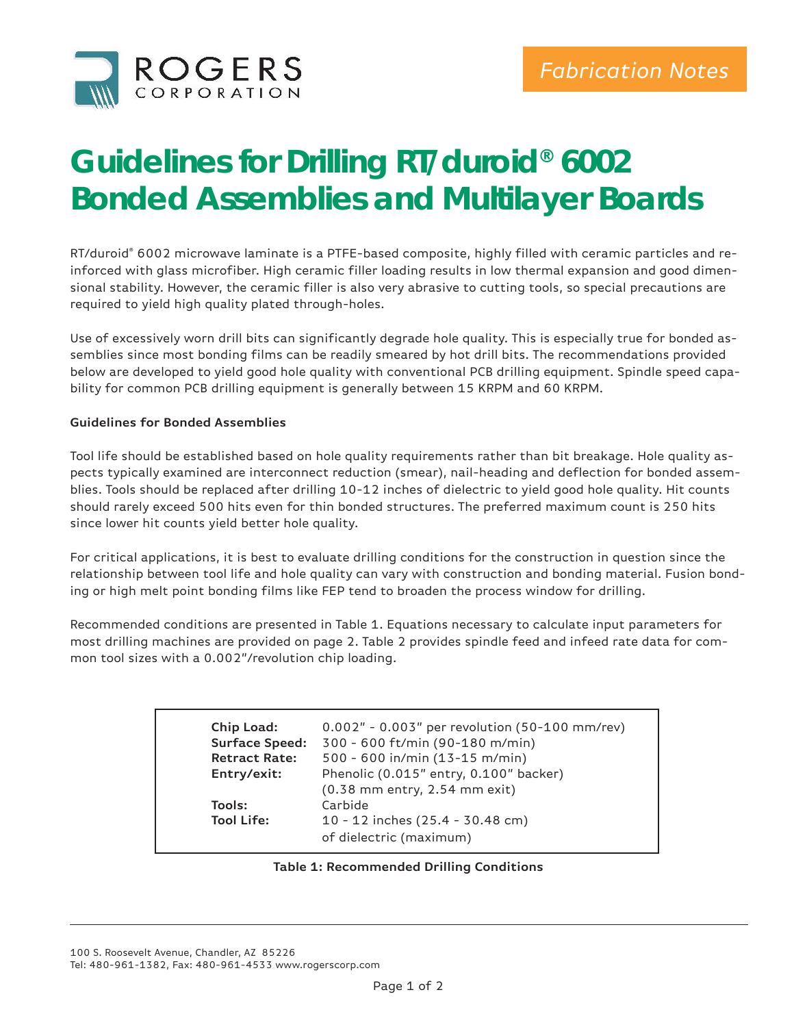

## **Guidelines for Drilling RT/duroid® 6002 Bonded Assemblies and Multilayer Boards**

RT/duroid® 6002 microwave laminate is a PTFE-based composite, highly filled with ceramic particles and reinforced with glass microfiber. High ceramic filler loading results in low thermal expansion and good dimensional stability. However, the ceramic filler is also very abrasive to cutting tools, so special precautions are required to yield high quality plated through-holes.

Use of excessively worn drill bits can significantly degrade hole quality. This is especially true for bonded assemblies since most bonding films can be readily smeared by hot drill bits. The recommendations provided below are developed to yield good hole quality with conventional PCB drilling equipment. Spindle speed capability for common PCB drilling equipment is generally between 15 KRPM and 60 KRPM.

## **Guidelines for Bonded Assemblies**

Tool life should be established based on hole quality requirements rather than bit breakage. Hole quality aspects typically examined are interconnect reduction (smear), nail-heading and deflection for bonded assemblies. Tools should be replaced after drilling 10-12 inches of dielectric to yield good hole quality. Hit counts should rarely exceed 500 hits even for thin bonded structures. The preferred maximum count is 250 hits since lower hit counts yield better hole quality.

For critical applications, it is best to evaluate drilling conditions for the construction in question since the relationship between tool life and hole quality can vary with construction and bonding material. Fusion bonding or high melt point bonding films like FEP tend to broaden the process window for drilling.

Recommended conditions are presented in Table 1. Equations necessary to calculate input parameters for most drilling machines are provided on page 2. Table 2 provides spindle feed and infeed rate data for common tool sizes with a 0.002"/revolution chip loading.

| 0.002" - 0.003" per revolution (50-100 mm/rev)<br>300 - 600 ft/min (90-180 m/min)<br>500 - 600 in/min (13-15 m/min)<br>Phenolic (0.015" entry, 0.100" backer)<br>(0.38 mm entry, 2.54 mm exit)<br>Carbide |
|-----------------------------------------------------------------------------------------------------------------------------------------------------------------------------------------------------------|
| 10 - 12 inches (25.4 - 30.48 cm)<br>of dielectric (maximum)                                                                                                                                               |
|                                                                                                                                                                                                           |

## **Table 1: Recommended Drilling Conditions**